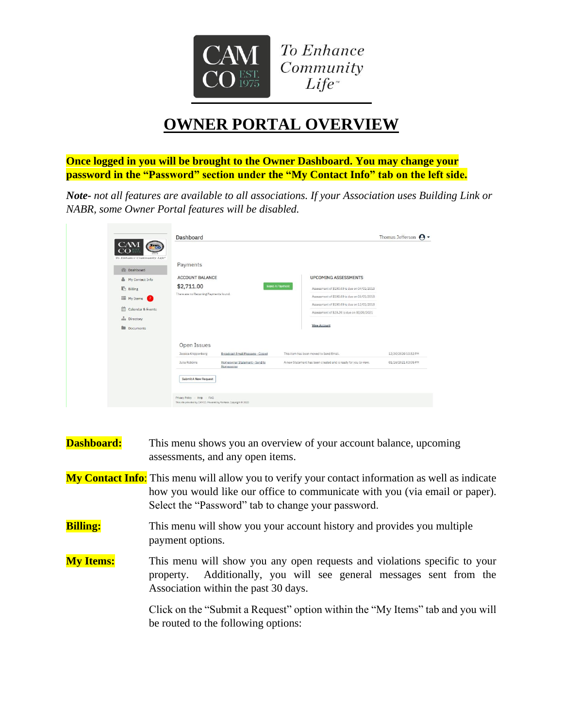

## **OWNER PORTAL OVERVIEW**

**Once logged in you will be brought to the Owner Dashboard. You may change your password in the "Password" section under the "My Contact Info" tab on the left side.**

*Note- not all features are available to all associations. If your Association uses Building Link or NABR, some Owner Portal features will be disabled.*

| 2m <sub>00</sub>                                  | Dashboard                                                                                         |                                            |                                                                | Thomas Jefferson $\Theta$ $\sim$ |
|---------------------------------------------------|---------------------------------------------------------------------------------------------------|--------------------------------------------|----------------------------------------------------------------|----------------------------------|
| To Enhance Community Life*<br><b>di</b> Dashboard | Payments                                                                                          |                                            |                                                                |                                  |
| 으<br>My Contact Info                              | <b>ACCOUNT BALANCE</b>                                                                            |                                            | <b>UPCOMING ASSESSMENTS</b>                                    |                                  |
| <b>Billing</b>                                    | \$2,711.00                                                                                        |                                            | Make A Payment<br>Assessment of \$100,00 is due on 04/01/2018  |                                  |
| E My Items 2                                      | There are no Recurring Payments found.                                                            |                                            | Assessment of \$100,00 is due on 05/01/2018                    |                                  |
|                                                   |                                                                                                   |                                            | Assessment of \$100,00 is due on 12/01/2018                    |                                  |
| 曲<br>Calendar & Events                            |                                                                                                   |                                            | Assessment of \$20.20 is due on 02/01/2021                     |                                  |
| an Directory                                      |                                                                                                   |                                            |                                                                |                                  |
| Documents                                         |                                                                                                   |                                            | <b>View Account</b>                                            |                                  |
|                                                   | Open Issues<br>Jessica Knippenberg                                                                | Broadcast Email Message - Closed           | This item has been moved to Send Email.                        | 12/30/2020 10:52 PM              |
|                                                   | Julia Robbins                                                                                     | Homeowner Statement - Send to<br>Homeowner | A new Statement has been created and is ready for you to view. | 01/16/2021 03:05 PM              |
|                                                   | Submit A New Request                                                                              |                                            |                                                                |                                  |
|                                                   | Privacy Policy - Help - FAQ<br>This site provided by CAMCO. Powered by Vantaca. Copyright @ 2020. |                                            |                                                                |                                  |

| <b>Dashboard:</b> | This menu shows you an overview of your account balance, upcoming<br>assessments, and any open items.                                                                                                                                 |  |  |  |
|-------------------|---------------------------------------------------------------------------------------------------------------------------------------------------------------------------------------------------------------------------------------|--|--|--|
|                   | My Contact Info: This menu will allow you to verify your contact information as well as indicate<br>how you would like our office to communicate with you (via email or paper).<br>Select the "Password" tab to change your password. |  |  |  |
| <b>Billing:</b>   | This menu will show you your account history and provides you multiple<br>payment options.                                                                                                                                            |  |  |  |
| <b>My Items:</b>  | This menu will show you any open requests and violations specific to your<br>Additionally, you will see general messages sent from the<br>property.<br>Association within the past 30 days.                                           |  |  |  |
|                   | Click on the "Submit a Request" option within the "My Items" tab and you will<br>be routed to the following options:                                                                                                                  |  |  |  |